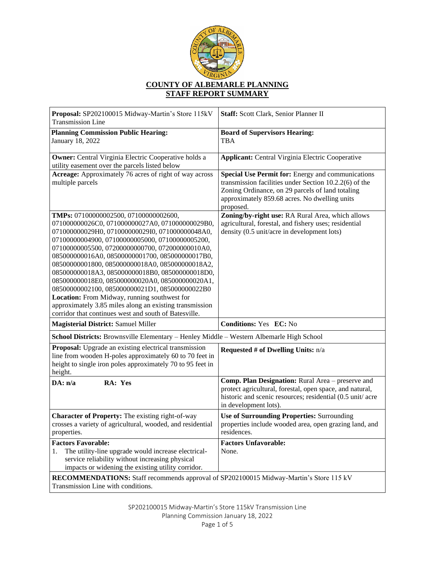

| Proposal: SP202100015 Midway-Martin's Store 115kV<br><b>Transmission Line</b>                                                                                                                                                                                                                                                                                                                                                                                                                                                                                                                                                                                                       | Staff: Scott Clark, Senior Planner II                                                                                                                                                                                         |
|-------------------------------------------------------------------------------------------------------------------------------------------------------------------------------------------------------------------------------------------------------------------------------------------------------------------------------------------------------------------------------------------------------------------------------------------------------------------------------------------------------------------------------------------------------------------------------------------------------------------------------------------------------------------------------------|-------------------------------------------------------------------------------------------------------------------------------------------------------------------------------------------------------------------------------|
| <b>Planning Commission Public Hearing:</b><br>January 18, 2022                                                                                                                                                                                                                                                                                                                                                                                                                                                                                                                                                                                                                      | <b>Board of Supervisors Hearing:</b><br><b>TBA</b>                                                                                                                                                                            |
| <b>Owner:</b> Central Virginia Electric Cooperative holds a<br>utility easement over the parcels listed below                                                                                                                                                                                                                                                                                                                                                                                                                                                                                                                                                                       | <b>Applicant:</b> Central Virginia Electric Cooperative                                                                                                                                                                       |
| Acreage: Approximately 76 acres of right of way across<br>multiple parcels                                                                                                                                                                                                                                                                                                                                                                                                                                                                                                                                                                                                          | Special Use Permit for: Energy and communications<br>transmission facilities under Section 10.2.2(6) of the<br>Zoning Ordinance, on 29 parcels of land totaling<br>approximately 859.68 acres. No dwelling units<br>proposed. |
| TMPs: 07100000002500, 07100000002600,<br>071000000026C0, 071000000027A0, 071000000029B0,<br>071000000029H0, 071000000029I0, 071000000048A0,<br>07100000004900, 07100000005000, 07100000005200,<br>07100000005500, 07200000000700, 072000000010A0,<br>085000000016A0, 08500000001700, 085000000017B0,<br>08500000001800, 085000000018A0, 085000000018A2,<br>085000000018A3, 085000000018B0, 085000000018D0,<br>085000000018E0, 085000000020A0, 085000000020A1,<br>08500000002100, 085000000021D1, 085000000022B0<br>Location: From Midway, running southwest for<br>approximately 3.85 miles along an existing transmission<br>corridor that continues west and south of Batesville. | Zoning/by-right use: RA Rural Area, which allows<br>agricultural, forestal, and fishery uses; residential<br>density (0.5 unit/acre in development lots)                                                                      |
| <b>Magisterial District: Samuel Miller</b>                                                                                                                                                                                                                                                                                                                                                                                                                                                                                                                                                                                                                                          | <b>Conditions: Yes EC: No</b>                                                                                                                                                                                                 |
| School Districts: Brownsville Elementary - Henley Middle - Western Albemarle High School                                                                                                                                                                                                                                                                                                                                                                                                                                                                                                                                                                                            |                                                                                                                                                                                                                               |
| <b>Proposal:</b> Upgrade an existing electrical transmission<br>line from wooden H-poles approximately 60 to 70 feet in<br>height to single iron poles approximately 70 to 95 feet in<br>height.                                                                                                                                                                                                                                                                                                                                                                                                                                                                                    | Requested # of Dwelling Units: $n/a$                                                                                                                                                                                          |
| DA: n/a<br>RA: Yes                                                                                                                                                                                                                                                                                                                                                                                                                                                                                                                                                                                                                                                                  | Comp. Plan Designation: Rural Area - preserve and<br>protect agricultural, forestal, open space, and natural,<br>historic and scenic resources; residential (0.5 unit/ acre<br>in development lots).                          |
| Character of Property: The existing right-of-way<br>crosses a variety of agricultural, wooded, and residential<br>properties.                                                                                                                                                                                                                                                                                                                                                                                                                                                                                                                                                       | <b>Use of Surrounding Properties: Surrounding</b><br>properties include wooded area, open grazing land, and<br>residences.                                                                                                    |
| <b>Factors Favorable:</b><br>The utility-line upgrade would increase electrical-<br>1.<br>service reliability without increasing physical<br>impacts or widening the existing utility corridor.                                                                                                                                                                                                                                                                                                                                                                                                                                                                                     | <b>Factors Unfavorable:</b><br>None.                                                                                                                                                                                          |
| RECOMMENDATIONS: Staff recommends approval of SP202100015 Midway-Martin's Store 115 kV<br>Transmission Line with conditions.                                                                                                                                                                                                                                                                                                                                                                                                                                                                                                                                                        |                                                                                                                                                                                                                               |

SP202100015 Midway-Martin's Store 115kV Transmission Line Planning Commission January 18, 2022 Page 1 of 5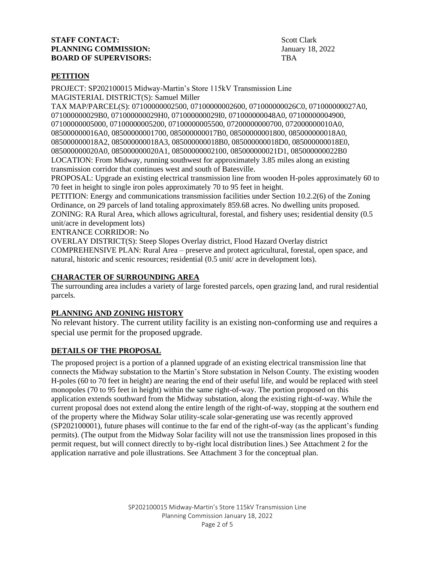## **STAFF CONTACT:** Scott Clark **PLANNING COMMISSION:** January 18, 2022 **BOARD OF SUPERVISORS:** TBA

# **PETITION**

PROJECT: SP202100015 Midway-Martin's Store 115kV Transmission Line MAGISTERIAL DISTRICT(S): Samuel Miller

TAX MAP/PARCEL(S): 07100000002500, 07100000002600, 071000000026C0, 071000000027A0, 071000000029B0, 071000000029H0, 071000000029I0, 071000000048A0, 07100000004900, 07100000005000, 07100000005200, 07100000005500, 07200000000700, 072000000010A0, 085000000016A0, 08500000001700, 085000000017B0, 08500000001800, 085000000018A0, 085000000018A2, 085000000018A3, 085000000018B0, 085000000018D0, 085000000018E0, 085000000020A0, 085000000020A1, 08500000002100, 085000000021D1, 085000000022B0 LOCATION: From Midway, running southwest for approximately 3.85 miles along an existing transmission corridor that continues west and south of Batesville.

PROPOSAL: Upgrade an existing electrical transmission line from wooden H-poles approximately 60 to 70 feet in height to single iron poles approximately 70 to 95 feet in height.

PETITION: Energy and communications transmission facilities under Section 10.2.2(6) of the Zoning Ordinance, on 29 parcels of land totaling approximately 859.68 acres. No dwelling units proposed. ZONING: RA Rural Area, which allows agricultural, forestal, and fishery uses; residential density (0.5 unit/acre in development lots)

ENTRANCE CORRIDOR: No

OVERLAY DISTRICT(S): Steep Slopes Overlay district, Flood Hazard Overlay district COMPREHENSIVE PLAN: Rural Area – preserve and protect agricultural, forestal, open space, and natural, historic and scenic resources; residential (0.5 unit/ acre in development lots).

# **CHARACTER OF SURROUNDING AREA**

The surrounding area includes a variety of large forested parcels, open grazing land, and rural residential parcels.

# **PLANNING AND ZONING HISTORY**

No relevant history. The current utility facility is an existing non-conforming use and requires a special use permit for the proposed upgrade.

### **DETAILS OF THE PROPOSAL**

The proposed project is a portion of a planned upgrade of an existing electrical transmission line that connects the Midway substation to the Martin's Store substation in Nelson County. The existing wooden H-poles (60 to 70 feet in height) are nearing the end of their useful life, and would be replaced with steel monopoles (70 to 95 feet in height) within the same right-of-way. The portion proposed on this application extends southward from the Midway substation, along the existing right-of-way. While the current proposal does not extend along the entire length of the right-of-way, stopping at the southern end of the property where the Midway Solar utility-scale solar-generating use was recently approved (SP202100001), future phases will continue to the far end of the right-of-way (as the applicant's funding permits). (The output from the Midway Solar facility will not use the transmission lines proposed in this permit request, but will connect directly to by-right local distribution lines.) See Attachment 2 for the application narrative and pole illustrations. See Attachment 3 for the conceptual plan.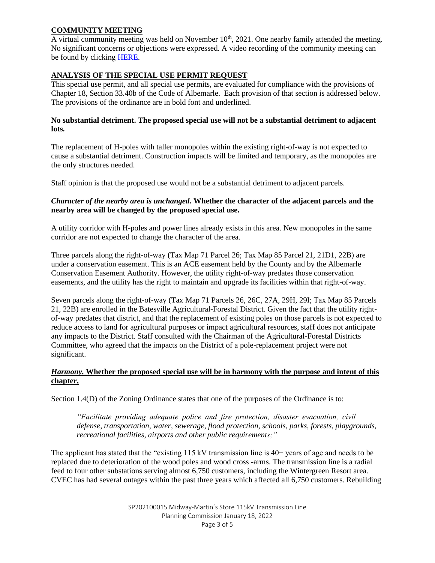## **COMMUNITY MEETING**

A virtual community meeting was held on November  $10<sup>th</sup>$ , 2021. One nearby family attended the meeting. No significant concerns or objections were expressed. A video recording of the community meeting can be found by clicking [HERE.](https://www.youtube.com/watch?v=8l_tHNXH9NA)

### **ANALYSIS OF THE SPECIAL USE PERMIT REQUEST**

This special use permit, and all special use permits, are evaluated for compliance with the provisions of Chapter 18, Section 33.40b of the Code of Albemarle. Each provision of that section is addressed below. The provisions of the ordinance are in bold font and underlined.

#### **No substantial detriment. The proposed special use will not be a substantial detriment to adjacent lots.**

The replacement of H-poles with taller monopoles within the existing right-of-way is not expected to cause a substantial detriment. Construction impacts will be limited and temporary, as the monopoles are the only structures needed.

Staff opinion is that the proposed use would not be a substantial detriment to adjacent parcels.

### *Character of the nearby area is unchanged.* **Whether the character of the adjacent parcels and the nearby area will be changed by the proposed special use.**

A utility corridor with H-poles and power lines already exists in this area. New monopoles in the same corridor are not expected to change the character of the area.

Three parcels along the right-of-way (Tax Map 71 Parcel 26; Tax Map 85 Parcel 21, 21D1, 22B) are under a conservation easement. This is an ACE easement held by the County and by the Albemarle Conservation Easement Authority. However, the utility right-of-way predates those conservation easements, and the utility has the right to maintain and upgrade its facilities within that right-of-way.

Seven parcels along the right-of-way (Tax Map 71 Parcels 26, 26C, 27A, 29H, 29I; Tax Map 85 Parcels 21, 22B) are enrolled in the Batesville Agricultural-Forestal District. Given the fact that the utility rightof-way predates that district, and that the replacement of existing poles on those parcels is not expected to reduce access to land for agricultural purposes or impact agricultural resources, staff does not anticipate any impacts to the District. Staff consulted with the Chairman of the Agricultural-Forestal Districts Committee, who agreed that the impacts on the District of a pole-replacement project were not significant.

# *Harmony.* **Whether the proposed special use will be in harmony with the purpose and intent of this chapter,**

Section 1.4(D) of the Zoning Ordinance states that one of the purposes of the Ordinance is to:

*"Facilitate providing adequate police and fire protection, disaster evacuation, civil defense, transportation, water, sewerage, flood protection, schools, parks, forests, playgrounds, recreational facilities, airports and other public requirements;"*

The applicant has stated that the "existing  $115 \text{ kV}$  transmission line is  $40+$  years of age and needs to be replaced due to deterioration of the wood poles and wood cross -arms. The transmission line is a radial feed to four other substations serving almost 6,750 customers, including the Wintergreen Resort area. CVEC has had several outages within the past three years which affected all 6,750 customers. Rebuilding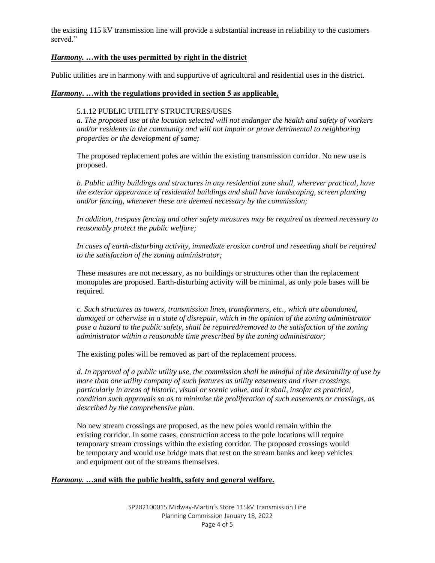the existing 115 kV transmission line will provide a substantial increase in reliability to the customers served."

#### *Harmony.* **…with the uses permitted by right in the district**

Public utilities are in harmony with and supportive of agricultural and residential uses in the district.

### *Harmony***. …with the regulations provided in section 5 as applicable,**

### 5.1.12 PUBLIC UTILITY STRUCTURES/USES

*a. The proposed use at the location selected will not endanger the health and safety of workers and/or residents in the community and will not impair or prove detrimental to neighboring properties or the development of same;*

The proposed replacement poles are within the existing transmission corridor. No new use is proposed.

*b. Public utility buildings and structures in any residential zone shall, wherever practical, have the exterior appearance of residential buildings and shall have landscaping, screen planting and/or fencing, whenever these are deemed necessary by the commission;*

*In addition, trespass fencing and other safety measures may be required as deemed necessary to reasonably protect the public welfare;*

*In cases of earth-disturbing activity, immediate erosion control and reseeding shall be required to the satisfaction of the zoning administrator;*

These measures are not necessary, as no buildings or structures other than the replacement monopoles are proposed. Earth-disturbing activity will be minimal, as only pole bases will be required.

*c. Such structures as towers, transmission lines, transformers, etc., which are abandoned, damaged or otherwise in a state of disrepair, which in the opinion of the zoning administrator pose a hazard to the public safety, shall be repaired/removed to the satisfaction of the zoning administrator within a reasonable time prescribed by the zoning administrator;*

The existing poles will be removed as part of the replacement process.

*d. In approval of a public utility use, the commission shall be mindful of the desirability of use by more than one utility company of such features as utility easements and river crossings, particularly in areas of historic, visual or scenic value, and it shall, insofar as practical, condition such approvals so as to minimize the proliferation of such easements or crossings, as described by the comprehensive plan.*

No new stream crossings are proposed, as the new poles would remain within the existing corridor. In some cases, construction access to the pole locations will require temporary stream crossings within the existing corridor. The proposed crossings would be temporary and would use bridge mats that rest on the stream banks and keep vehicles and equipment out of the streams themselves.

#### *Harmony.* **…and with the public health, safety and general welfare.**